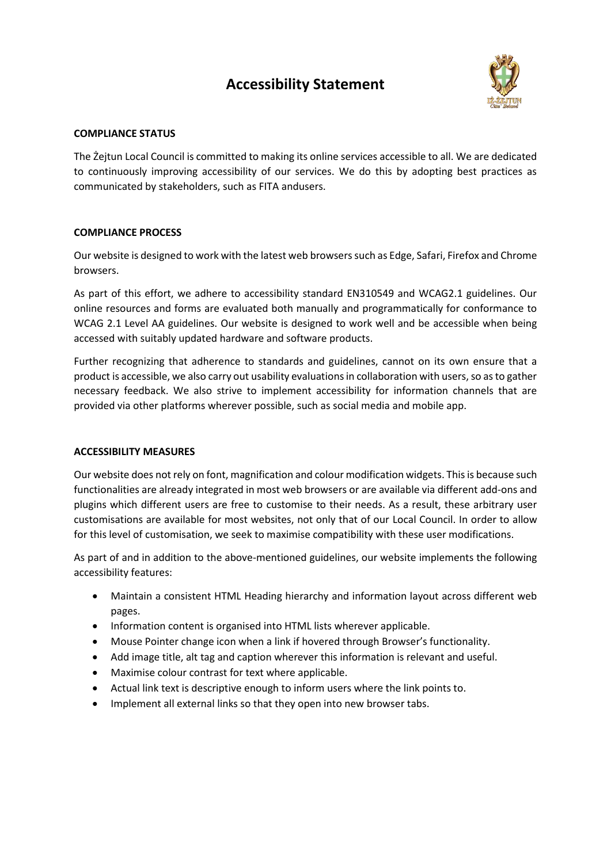# **Accessibility Statement**



# **COMPLIANCE STATUS**

The Żejtun Local Council is committed to making its online services accessible to all. We are dedicated to continuously improving accessibility of our services. We do this by adopting best practices as communicated by stakeholders, such as FITA andusers.

# **COMPLIANCE PROCESS**

Our website is designed to work with the latest web browsers such as Edge, Safari, Firefox and Chrome browsers.

As part of this effort, we adhere to accessibility standard EN310549 and WCAG2.1 guidelines. Our online resources and forms are evaluated both manually and programmatically for conformance to WCAG 2.1 Level AA guidelines. Our website is designed to work well and be accessible when being accessed with suitably updated hardware and software products.

Further recognizing that adherence to standards and guidelines, cannot on its own ensure that a product is accessible, we also carry out usability evaluations in collaboration with users, so as to gather necessary feedback. We also strive to implement accessibility for information channels that are provided via other platforms wherever possible, such as social media and mobile app.

## **ACCESSIBILITY MEASURES**

Our website does not rely on font, magnification and colour modification widgets. This is because such functionalities are already integrated in most web browsers or are available via different add-ons and plugins which different users are free to customise to their needs. As a result, these arbitrary user customisations are available for most websites, not only that of our Local Council. In order to allow for this level of customisation, we seek to maximise compatibility with these user modifications.

As part of and in addition to the above-mentioned guidelines, our website implements the following accessibility features:

- Maintain a consistent HTML Heading hierarchy and information layout across different web pages.
- Information content is organised into HTML lists wherever applicable.
- Mouse Pointer change icon when a link if hovered through Browser's functionality.
- Add image title, alt tag and caption wherever this information is relevant and useful.
- Maximise colour contrast for text where applicable.
- Actual link text is descriptive enough to inform users where the link points to.
- Implement all external links so that they open into new browser tabs.